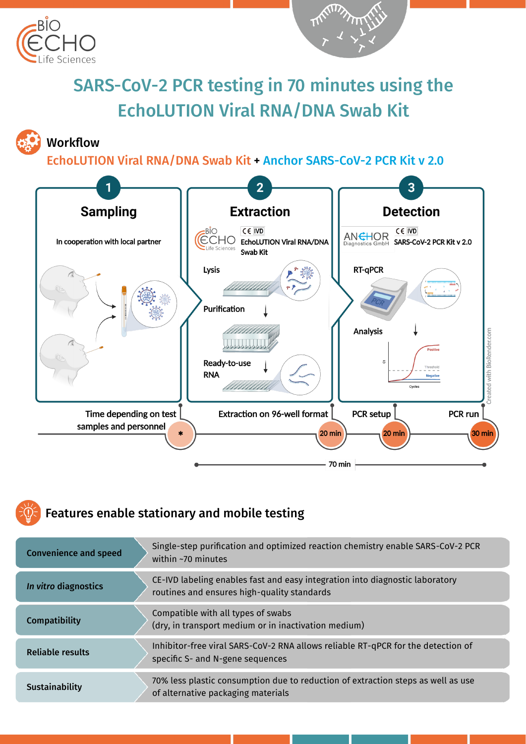



# SARS-CoV-2 PCR testing in 70 minutes using the EchoLUTION Viral RNA/DNA Swab Kit

#### Workflow

EchoLUTION Viral RNA/DNA Swab Kit + Anchor SARS-CoV-2 PCR Kit v 2.0



# Features enable stationary and mobile testing

| <b>Convenience and speed</b> | Single-step purification and optimized reaction chemistry enable SARS-CoV-2 PCR<br>within $\sim$ 70 minutes                 |
|------------------------------|-----------------------------------------------------------------------------------------------------------------------------|
| In vitro diagnostics         | CE-IVD labeling enables fast and easy integration into diagnostic laboratory<br>routines and ensures high-quality standards |
| Compatibility                | Compatible with all types of swabs<br>(dry, in transport medium or in inactivation medium)                                  |
| <b>Reliable results</b>      | Inhibitor-free viral SARS-CoV-2 RNA allows reliable RT-qPCR for the detection of<br>specific S- and N-gene sequences        |
| Sustainability               | 70% less plastic consumption due to reduction of extraction steps as well as use<br>of alternative packaging materials      |